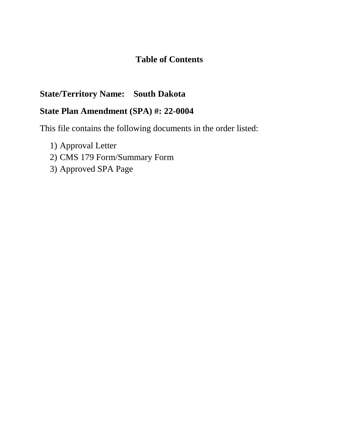# **Table of Contents**

## **State/Territory Name: South Dakota**

# **State Plan Amendment (SPA) #: 22-0004**

This file contains the following documents in the order listed:

- 1) Approval Letter
- 2) CMS 179 Form/Summary Form
- 3) Approved SPA Page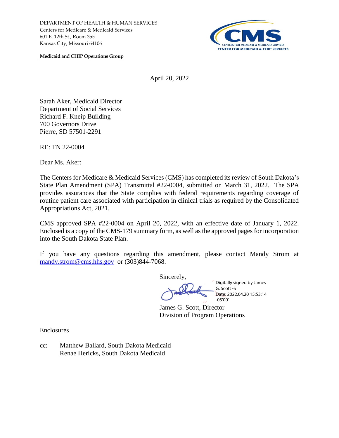

**Medicaid and CHIP Operations Group**

April 20, 2022

Sarah Aker, Medicaid Director Department of Social Services Richard F. Kneip Building 700 Governors Drive Pierre, SD 57501-2291

RE: TN 22-0004

Dear Ms. Aker:

The Centers for Medicare & Medicaid Services (CMS) has completed its review of South Dakota's State Plan Amendment (SPA) Transmittal #22-0004, submitted on March 31, 2022. The SPA provides assurances that the State complies with federal requirements regarding coverage of routine patient care associated with participation in clinical trials as required by the Consolidated Appropriations Act, 2021.

CMS approved SPA #22-0004 on April 20, 2022, with an effective date of January 1, 2022. Enclosed is a copy of the CMS-179 summary form, as well as the approved pages for incorporation into the South Dakota State Plan.

If you have any questions regarding this amendment, please contact Mandy Strom at mandy.strom@cms.hhs.gov or (303)844-7068.

Sincerely,

Digitally signed by James G. Scott -S Date: 2022.04.20 15:53:14 -05'00'

James G. Scott, Director Division of Program Operations

Enclosures

cc: Matthew Ballard, South Dakota Medicaid Renae Hericks, South Dakota Medicaid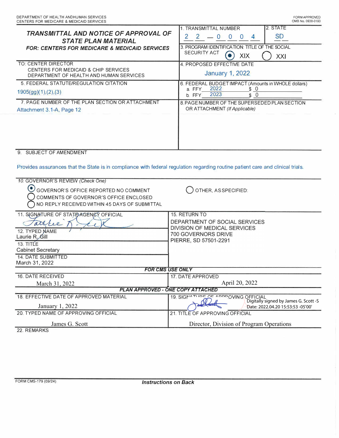| TRANSMITTAL AND NOTICE OF APPROVAL OF<br><b>STATE PLAN MATERIAL</b><br><b>FOR: CENTERS FOR MEDICARE &amp; MEDICAID SERVICES</b>                                                                 | 2. STATE<br>1. TRANSMITTAL NUMBER<br><b>SD</b><br>$-0$<br>2<br>2<br>$\Omega$<br>$\Omega$<br>4<br>3. PROGRAM IDENTIFICATION: TITLE OF THE SOCIAL<br>SECURITY ACT<br><b>XIX</b><br>XXI |
|-------------------------------------------------------------------------------------------------------------------------------------------------------------------------------------------------|--------------------------------------------------------------------------------------------------------------------------------------------------------------------------------------|
| TO: CENTER DIRECTOR<br>CENTERS FOR MEDICAID & CHIP SERVICES<br>DEPARTMENT OF HEALTH AND HUMAN SERVICES                                                                                          | 4. PROPOSED EFFECTIVE DATE<br><b>January 1, 2022</b>                                                                                                                                 |
| 5. FEDERAL STATUTE/REGULATION CITATION<br>1905(gg)(1), (2), (3)                                                                                                                                 | 6. FEDERAL BUDGET IMPACT (Amounts in WHOLE dollars)<br>2022<br>\$0<br>a FFY<br>2023<br>\$0<br>b. FFY                                                                                 |
| 7. PAGE NUMBER OF THE PLAN SECTION OR ATTACHMENT<br>Attachment 3.1-A, Page 12                                                                                                                   | 8. PAGE NUMBER OF THE SUPERSEDED PLAN SECTION<br>OR ATTACHMENT (If Applicable)                                                                                                       |
| 9. SUBJECT OF AMENDMENT<br>Provides assurances that the State is in compliance with federal regulation regarding routine patient care and clinical trials.<br>10. GOVERNOR'S REVIEW (Check One) |                                                                                                                                                                                      |
| GOVERNOR'S OFFICE REPORTED NO COMMENT<br>COMMENTS OF GOVERNOR'S OFFICE ENCLOSED<br>NO REPLY RECEIVED WITHIN 45 DAYS OF SUBMITTAL                                                                | OTHER, AS SPECIFIED:                                                                                                                                                                 |
| 11. SIGNATURE OF STATE AGENCY OFFICIAL<br>attre<br>12. TYPED NAME<br>Laurie R. Gill<br>13. TITLE<br><b>Cabinet Secretary</b><br>14. DATE SUBMITTED<br>March 31, 2022                            | 15. RETURN TO<br>DEPARTMENT OF SOCIAL SERVICES<br>DIVISION OF MEDICAL SERVICES<br>700 GOVERNORS DRIVE<br>PIERRE, SD 57501-2291                                                       |
| <b>FOR CMS USE ONLY</b>                                                                                                                                                                         |                                                                                                                                                                                      |
| 16. DATE RECEIVED                                                                                                                                                                               | 17. DATE APPROVED<br>April 20, 2022                                                                                                                                                  |
| March 31, 2022<br>PLAN APPROVED - ONE COPY ATTACHED                                                                                                                                             |                                                                                                                                                                                      |
| 18. EFFECTIVE DATE OF APPROVED MATERIAL<br>January 1, 2022                                                                                                                                      | 19. SIGNATUPE OF APPPOVING OFFICIAL<br>Digitally signed by James G. Scott -S<br>Date: 2022.04.20 15:53:53 -05'00'                                                                    |
| 20. TYPED NAME OF APPROVING OFFICIAL                                                                                                                                                            | 21. TITLE OF APPROVING OFFICIAL                                                                                                                                                      |
| James G. Scott                                                                                                                                                                                  | Director, Division of Program Operations                                                                                                                                             |
| 22. REMARKS                                                                                                                                                                                     |                                                                                                                                                                                      |